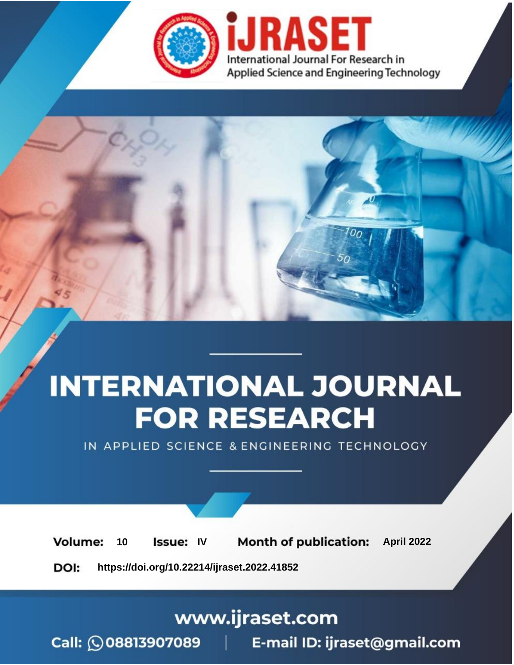

# **INTERNATIONAL JOURNAL FOR RESEARCH**

IN APPLIED SCIENCE & ENGINEERING TECHNOLOGY

10 **Issue: IV Month of publication:** April 2022 **Volume:** 

**https://doi.org/10.22214/ijraset.2022.41852**DOI:

www.ijraset.com

Call: 008813907089 | E-mail ID: ijraset@gmail.com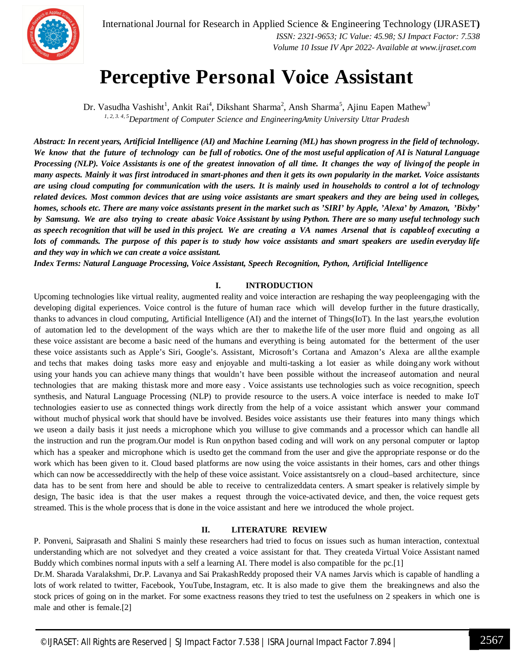

International Journal for Research in Applied Science & Engineering Technology (IJRASET**)**  *ISSN: 2321-9653; IC Value: 45.98; SJ Impact Factor: 7.538 Volume 10 Issue IV Apr 2022- Available at www.ijraset.com*

### **Perceptive Personal Voice Assistant**

Dr. Vasudha Vashisht<sup>1</sup>, Ankit Rai<sup>4</sup>, Dikshant Sharma<sup>2</sup>, Ansh Sharma<sup>5</sup>, Ajinu Eapen Mathew<sup>3</sup> *1, 2, 3. 4, 5Department of Computer Science and EngineeringAmity University Uttar Pradesh*

Abstract: In recent years, Artificial Intelligence (AI) and Machine Learning (ML) has shown progress in the field of technology. We know that the future of technology can be full of robotics. One of the most useful application of AI is Natural Language *Processing (NLP). Voice Assistants is one of the greatest innovation of all time. It changes the way of livingof the people in many aspects. Mainly it was first introduced in smart-phones and then it gets its own popularity in the market. Voice assistants are using cloud computing for communication with the users. It is mainly used in households to control a lot of technology related devices. Most common devices that are using voice assistants are smart speakers and they are being used in colleges,* homes, schools etc. There are many voice assistants present in the market such as 'SIRI' by Apple, 'Alexa' by Amazon, 'Bixby' *by Samsung. We are also trying to create abasic Voice Assistant by using Python. There are so many useful technology such as speech recognition that will be used in this project. We are creating a VA names Arsenal that is capableof executing a* lots of commands. The purpose of this paper is to study how voice assistants and smart speakers are usedin everyday life *and they way in which we can create a voice assistant.*

*Index Terms: Natural Language Processing, Voice Assistant, Speech Recognition, Python, Artificial Intelligence*

#### **I. INTRODUCTION**

Upcoming technologies like virtual reality, augmented reality and voice interaction are reshaping the way peopleengaging with the developing digital experiences. Voice control is the future of human race which will develop further in the future drastically, thanks to advances in cloud computing, Artificial Intelligence (AI) and the internet of Things(IoT). In the last years,the evolution of automation led to the development of the ways which are ther to makethe life of the user more fluid and ongoing as all these voice assistant are become a basic need of the humans and everything is being automated for the betterment of the user these voice assistants such as Apple's Siri, Google's. Assistant, Microsoft's Cortana and Amazon's Alexa are allthe example and techs that makes doing tasks more easy and enjoyable and multi-tasking a lot easier as while doingany work without using your hands you can achieve many things that wouldn't have been possible without the increaseof automation and neural technologies that are making thistask more and more easy . Voice assistants use technologies such as voice recognition, speech synthesis, and Natural Language Processing (NLP) to provide resource to the users.A voice interface is needed to make IoT technologies easier to use as connected things work directly from the help of a voice assistant which answer your command without muchof physical work that should have be involved. Besides voice assistants use their features into many things which we useon a daily basis it just needs a microphone which you willuse to give commands and a processor which can handle all the instruction and run the program.Our model is Run onpython based coding and will work on any personal computer or laptop which has a speaker and microphone which is usedto get the command from the user and give the appropriate response or do the work which has been given to it. Cloud based platforms are now using the voice assistants in their homes, cars and other things which can now be accesseddirectly with the help of these voice assistant. Voice assistantsrely on a cloud–based architecture, since data has to be sent from here and should be able to receive to centralizeddata centers. A smart speaker is relatively simple by design, The basic idea is that the user makes a request through the voice-activated device, and then, the voice request gets streamed. This is the whole process that is done in the voice assistant and here we introduced the whole project.

#### **II. LITERATURE REVIEW**

P. Ponveni, Saiprasath and Shalini S mainly these researchers had tried to focus on issues such as human interaction, contextual understanding which are not solvedyet and they created a voice assistant for that. They createda Virtual Voice Assistant named Buddy which combines normal inputs with a self a learning AI. There model is also compatible for the pc.[1]

Dr.M. Sharada Varalakshmi, Dr.P. Lavanya and Sai PrakashReddy proposed their VA names Jarvis which is capable of handling a lots of work related to twitter, Facebook, YouTube,Instagram, etc. It is also made to give them the breakingnews and also the stock prices of going on in the market. For some exactness reasons they tried to test the usefulness on 2 speakers in which one is male and other is female.[2]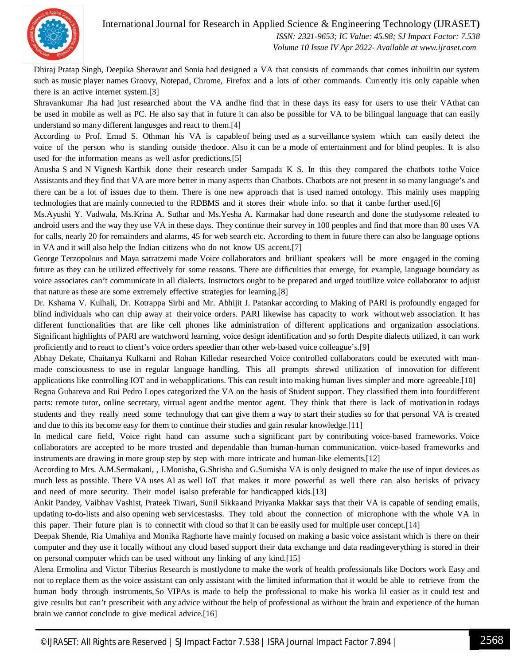

International Journal for Research in Applied Science & Engineering Technology (IJRASET**)**

 *ISSN: 2321-9653; IC Value: 45.98; SJ Impact Factor: 7.538 Volume 10 Issue IV Apr 2022- Available at www.ijraset.com*

Dhiraj Pratap Singh, Deepika Sherawat and Sonia had designed a VA that consists of commands that comes inbuiltin our system such as music player names Groovy, Notepad, Chrome, Firefox and a lots of other commands. Currently itis only capable when there is an active internet system.[3]

Shravankumar Jha had just researched about the VA andhe find that in these days its easy for users to use their VAthat can be used in mobile as well as PC. He also say that in future it can also be possible for VA to be bilingual language that can easily understand so many different langusges and react to them.[4]

According to Prof. Emad S. Othman his VA is capableof being used as a surveillance system which can easily detect the voice of the person who is standing outside thedoor. Also it can be a mode of entertainment and for blind peoples. It is also used for the information means as well asfor predictions.[5]

Anusha S and N Vignesh Karthik done their research under Sampada K S. In this they compared the chatbots tothe Voice Assistants and they find that VA are more better in many aspects than Chatbots. Chatbots are not present in so many language's and there can be a lot of issues due to them. There is one new approach that is used named ontology. This mainly uses mapping technologies that are mainly connected to the RDBMS and it stores their whole info. so that it canbe further used.[6]

Ms.Ayushi Y. Vadwala, Ms.Krina A. Suthar and Ms.Yesha A. Karmakar had done research and done the studysome releated to android users and the way they use VA in these days. They continue their survey in 100 peoples and find that more than 80 uses VA for calls, nearly 20 for remainders and alarms, 45 for web search etc. According to them in future there can also be language options in VA and it will also help the Indian citizens who do not know US accent.[7]

George Terzopolous and Maya satratzemi made Voice collaborators and brilliant speakers will be more engaged in the coming future as they can be utilized effectively for some reasons. There are difficulties that emerge, for example, language boundary as voice associates can't communicate in all dialects. Instructors ought to be prepared and urged toutilize voice collaborator to adjust that nature as these are some extremely effective strategies for learning.[8]

Dr. Kshama V. Kulhali, Dr. Kotrappa Sirbi and Mr. Abhijit J. Patankar according to Making of PARI is profoundly engaged for blind individuals who can chip away at their voice orders. PARI likewise has capacity to work withoutweb association. It has different functionalities that are like cell phones like administration of different applications and organization associations. Significant highlights of PARI are watchword learning, voice design identification and so forth Despite dialects utilized, it can work proficiently and to react to client's voice orders speedier than other web-based voice colleague's.[9]

Abhay Dekate, Chaitanya Kulkarni and Rohan Killedar researched Voice controlled collaborators could be executed with manmade consciousness to use in regular language handling. This all prompts shrewd utilization of innovation for different applications like controlling IOT and in webapplications. This can result into making human lives simpler and more agreeable.[10]

Regna Gubareva and Rui Pedro Lopes categorized the VA on the basis of Student support. They classified them into fourdifferent parts: remote tutor, online secretary, virtual agent and the mentor agent. They think that there is lack of motivation in todays students and they really need some technology that can give them a way to start their studies so for that personal VA is created and due to this its become easy for them to continue their studies and gain resular knowledge.[11]

In medical care field, Voice right hand can assume such a significant part by contributing voice-based frameworks. Voice collaborators are accepted to be more trusted and dependable than human-human communication. voice-based frameworks and instruments are drawing in more group step by step with more intricate and human-like elements.[12]

According to Mrs. A.M.Sermakani, , J.Monisha, G.Shrisha and G.Sumisha VA is only designed to make the use of input devices as much less as possible. There VA uses AI as well IoT that makes it more powerful as well there can also berisks of privacy and need of more security. Their model isalso preferable for handicapped kids.[13]

Ankit Pandey, Vaibhav Vashist, Prateek Tiwari, Sunil Sikkaand Priyanka Makkar says that their VA is capable of sending emails, updating to-do-lists and also opening web servicestasks. They told about the connection of microphone with the whole VA in this paper. Their future plan is to connectit with cloud so that it can be easily used for multiple user concept.[14]

Deepak Shende, Ria Umahiya and Monika Raghorte have mainly focused on making a basic voice assistant which is there on their computer and they use it locally without any cloud based support their data exchange and data readingeverything is stored in their on personal computer which can be used without any linking of any kind.[15]

Alena Ermolina and Victor Tiberius Research is mostlydone to make the work of health professionals like Doctors work Easy and not to replace them as the voice assistant can only assistant with the limited information that it would be able to retrieve from the human body through instruments,So VIPAs is made to help the professional to make his worka lil easier as it could test and give results but can't prescribeit with any advice without the help of professional as without the brain and experience of the human brain we cannot conclude to give medical advice.[16]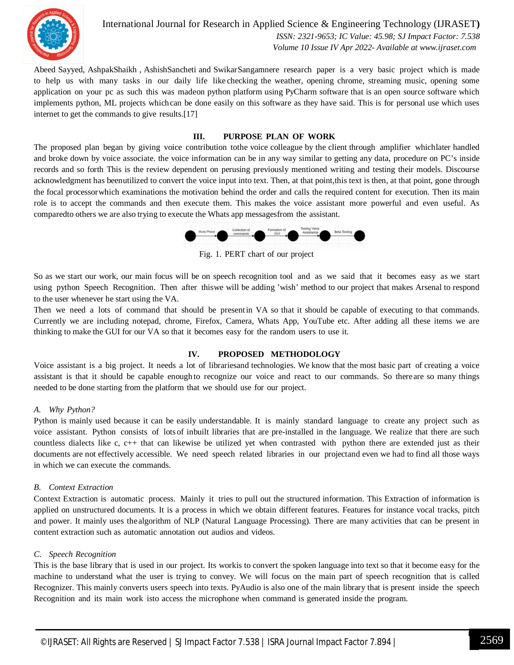

International Journal for Research in Applied Science & Engineering Technology (IJRASET**)**  *ISSN: 2321-9653; IC Value: 45.98; SJ Impact Factor: 7.538 Volume 10 Issue IV Apr 2022- Available at www.ijraset.com*

Abeed Sayyed, AshpakShaikh , AshishSancheti and SwikarSangamnere research paper is a very basic project which is made to help us with many tasks in our daily life like checking the weather, opening chrome, streaming music, opening some application on your pc as such this was madeon python platform using PyCharm software that is an open source software which implements python, ML projects which can be done easily on this software as they have said. This is for personal use which uses internet to get the commands to give results.[17]

#### **III. PURPOSE PLAN OF WORK**

The proposed plan began by giving voice contribution tothe voice colleague by the client through amplifier whichlater handled and broke down by voice associate. the voice information can be in any way similar to getting any data, procedure on PC's inside records and so forth This is the review dependent on perusing previously mentioned writing and testing their models. Discourse acknowledgment has beenutilized to convert the voice input into text. Then, at that point, this text is then, at that point, gone through the focal processorwhich examinations the motivation behind the order and calls the required content for execution. Then its main role is to accept the commands and then execute them. This makes the voice assistant more powerful and even useful. As comparedto others we are also trying to execute the Whats app messagesfrom the assistant.



Fig. 1. PERT chart of our project

So as we start our work, our main focus will be on speech recognition tool and as we said that it becomes easy as we start using python Speech Recognition. Then after thiswe will be adding 'wish' method to our project that makes Arsenal to respond to the user whenever he start using the VA.

Then we need a lots of command that should be present in VA so that it should be capable of executing to that commands. Currently we are including notepad, chrome, Firefox, Camera, Whats App, YouTube etc. After adding all these items we are thinking to make the GUI for our VA so that it becomes easy for the random users to use it.

#### **IV. PROPOSED METHODOLOGY**

Voice assistant is a big project. It needs a lot of librariesand technologies. We know that the most basic part of creating a voice assistant is that it should be capable enough to recognize our voice and react to our commands. So thereare so many things needed to be done starting from the platform that we should use for our project.

#### *A. Why Python?*

Python is mainly used because it can be easily understandable. It is mainly standard language to create any project such as voice assistant. Python consists of lots of inbuilt libraries that are pre-installed in the language. We realize that there are such countless dialects like c, c++ that can likewise be utilized yet when contrasted with python there are extended just as their documents are not effectively accessible. We need speech related libraries in our projectand even we had to find all those ways in which we can execute the commands.

#### *B. Context Extraction*

Context Extraction is automatic process. Mainly it tries to pull out the structured information. This Extraction of information is applied on unstructured documents. It is a process in which we obtain different features. Features for instance vocal tracks, pitch and power. It mainly uses thealgorithm of NLP (Natural Language Processing). There are many activities that can be present in content extraction such as automatic annotation out audios and videos.

#### *C. Speech Recognition*

This is the base library that is used in our project. Its workis to convert the spoken language into text so that it become easy for the machine to understand what the user is trying to convey. We will focus on the main part of speech recognition that is called Recognizer. This mainly converts users speech into texts. PyAudio is also one of the main library that is present inside the speech Recognition and its main work isto access the microphone when command is generated inside the program.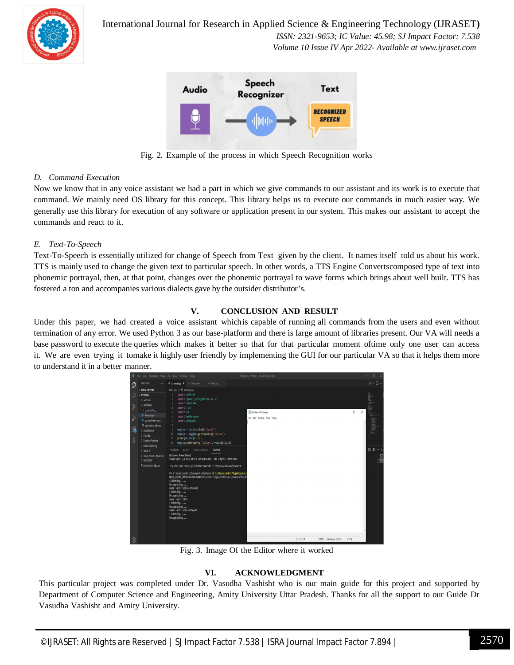

International Journal for Research in Applied Science & Engineering Technology (IJRASET**)**

 *ISSN: 2321-9653; IC Value: 45.98; SJ Impact Factor: 7.538 Volume 10 Issue IV Apr 2022- Available at www.ijraset.com*



Fig. 2. Example of the process in which Speech Recognition works

#### *D. Command Execution*

Now we know that in any voice assistant we had a part in which we give commands to our assistant and its work is to execute that command. We mainly need OS library for this concept. This library helps us to execute our commands in much easier way. We generally use this library for execution of any software or application present in our system. This makes our assistant to accept the commands and react to it.

#### *E. Text-To-Speech*

Text-To-Speech is essentially utilized for change of Speech from Text given by the client. It names itself told us about his work. TTS is mainly used to change the given text to particular speech. In other words, a TTS Engine Convertscomposed type of text into phonemic portrayal, then, at that point, changes over the phonemic portrayal to wave forms which brings about well built. TTS has fostered a ton and accompanies various dialects gave by the outsider distributor's.

#### **V. CONCLUSION AND RESULT**

Under this paper, we had created a voice assistant whichis capable of running all commands from the users and even without termination of any error. We used Python 3 as our base-platform and there is large amount of libraries present. Our VA will needs a base password to execute the queries which makes it better so that for that particular moment oftime only one user can access it. We are even trying it tomake it highly user friendly by implementing the GUI for our particular VA so that it helps them more to understand it in a better manner.



Fig. 3. Image Of the Editor where it worked

#### **VI. ACKNOWLEDGMENT**

This particular project was completed under Dr. Vasudha Vashisht who is our main guide for this project and supported by Department of Computer Science and Engineering, Amity University Uttar Pradesh. Thanks for all the support to our Guide Dr Vasudha Vashisht and Amity University.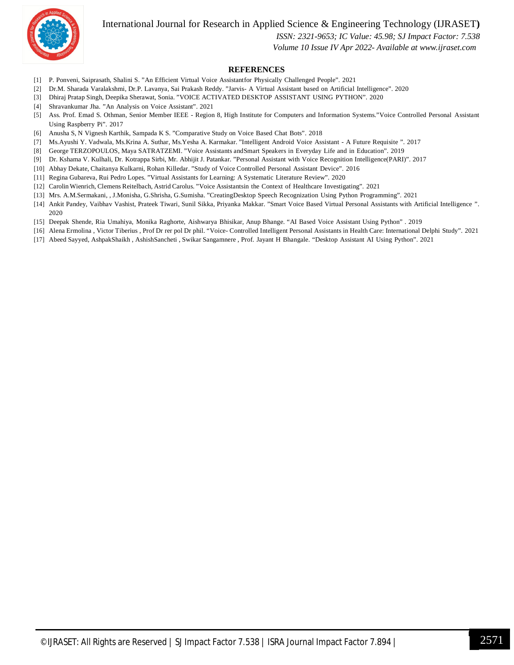International Journal for Research in Applied Science & Engineering Technology (IJRASET**)**



#### *ISSN: 2321-9653; IC Value: 45.98; SJ Impact Factor: 7.538*

 *Volume 10 Issue IV Apr 2022- Available at www.ijraset.com*

#### **REFERENCES**

- [1] P. Ponveni, Saiprasath, Shalini S. "An Efficient Virtual Voice Assistantfor Physically Challenged People". 2021
- [2] Dr.M. Sharada Varalakshmi, Dr.P. Lavanya, Sai Prakash Reddy. "Jarvis- A Virtual Assistant based on Artificial Intelligence". 2020
- [3] Dhiraj Pratap Singh, Deepika Sherawat, Sonia. "VOICE ACTIVATED DESKTOP ASSISTANT USING PYTHON". 2020
- [4] Shravankumar Jha. "An Analysis on Voice Assistant". 2021
- [5] Ass. Prof. Emad S. Othman, Senior Member IEEE Region 8, High Institute for Computers and Information Systems."Voice Controlled Personal Assistant Using Raspberry Pi". 2017
- [6] Anusha S, N Vignesh Karthik, Sampada K S. "Comparative Study on Voice Based Chat Bots". 2018
- [7] Ms.Ayushi Y. Vadwala, Ms.Krina A. Suthar, Ms.Yesha A. Karmakar. "Intelligent Android Voice Assistant A Future Requisite ". 2017
- [8] George TERZOPOULOS, Maya SATRATZEMI. "Voice Assistants andSmart Speakers in Everyday Life and in Education". 2019
- [9] Dr. Kshama V. Kulhali, Dr. Kotrappa Sirbi, Mr. Abhijit J. Patankar. "Personal Assistant with Voice Recognition Intelligence(PARI)". 2017
- [10] Abhay Dekate, Chaitanya Kulkarni, Rohan Killedar. "Study of Voice Controlled Personal Assistant Device". 2016
- [11] Regina Gubareva, Rui Pedro Lopes. "Virtual Assistants for Learning: A Systematic Literature Review". 2020
- [12] Carolin Wienrich, Clemens Reitelbach, Astrid Carolus. "Voice Assistantsin the Context of Healthcare Investigating". 2021
- [13] Mrs. A.M.Sermakani, , J.Monisha, G.Shrisha, G.Sumisha. "CreatingDesktop Speech Recognization Using Python Programming". 2021
- [14] Ankit Pandey, Vaibhav Vashist, Prateek Tiwari, Sunil Sikka, Priyanka Makkar. "Smart Voice Based Virtual Personal Assistants with Artificial Intelligence ". 2020
- [15] Deepak Shende, Ria Umahiya, Monika Raghorte, Aishwarya Bhisikar, Anup Bhange. "AI Based Voice Assistant Using Python" . 2019
- [16] Alena Ermolina , Victor Tiberius , Prof Dr rer pol Dr phil. "Voice- Controlled Intelligent Personal Assistants in Health Care: International Delphi Study". 2021
- [17] Abeed Sayyed, AshpakShaikh , AshishSancheti , Swikar Sangamnere , Prof. Jayant H Bhangale. "Desktop Assistant AI Using Python". 2021